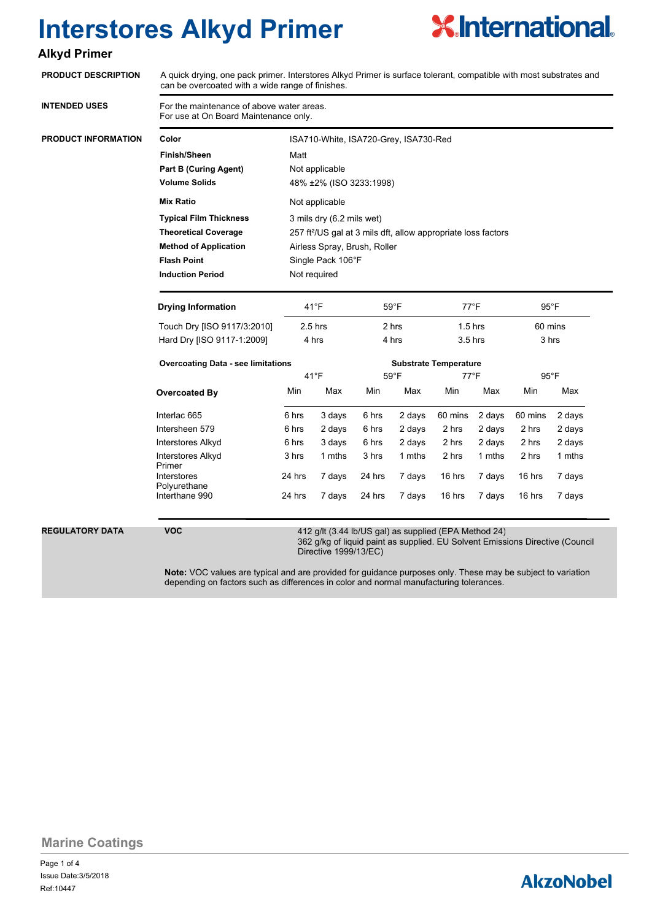

### **Alkyd Primer**

| <b>PRODUCT DESCRIPTION</b> | A quick drying, one pack primer. Interstores Alkyd Primer is surface tolerant, compatible with most substrates and<br>can be overcoated with a wide range of finishes.        |                                                                                                        |                                       |                |                |                        |                |                  |                |  |
|----------------------------|-------------------------------------------------------------------------------------------------------------------------------------------------------------------------------|--------------------------------------------------------------------------------------------------------|---------------------------------------|----------------|----------------|------------------------|----------------|------------------|----------------|--|
| <b>INTENDED USES</b>       | For the maintenance of above water areas.<br>For use at On Board Maintenance only.                                                                                            |                                                                                                        |                                       |                |                |                        |                |                  |                |  |
| PRODUCT INFORMATION        | Color                                                                                                                                                                         |                                                                                                        | ISA710-White, ISA720-Grey, ISA730-Red |                |                |                        |                |                  |                |  |
|                            | <b>Finish/Sheen</b>                                                                                                                                                           | Matt                                                                                                   |                                       |                |                |                        |                |                  |                |  |
|                            | <b>Part B (Curing Agent)</b>                                                                                                                                                  | Not applicable                                                                                         |                                       |                |                |                        |                |                  |                |  |
|                            | <b>Volume Solids</b>                                                                                                                                                          | 48% ±2% (ISO 3233:1998)                                                                                |                                       |                |                |                        |                |                  |                |  |
|                            | <b>Mix Ratio</b>                                                                                                                                                              | Not applicable                                                                                         |                                       |                |                |                        |                |                  |                |  |
|                            | <b>Typical Film Thickness</b>                                                                                                                                                 | 3 mils dry (6.2 mils wet)<br>257 ft <sup>2</sup> /US gal at 3 mils dft, allow appropriate loss factors |                                       |                |                |                        |                |                  |                |  |
|                            | <b>Theoretical Coverage</b>                                                                                                                                                   |                                                                                                        |                                       |                |                |                        |                |                  |                |  |
|                            | <b>Method of Application</b>                                                                                                                                                  | Airless Spray, Brush, Roller                                                                           |                                       |                |                |                        |                |                  |                |  |
|                            | <b>Flash Point</b>                                                                                                                                                            | Single Pack 106°F                                                                                      |                                       |                |                |                        |                |                  |                |  |
|                            | <b>Induction Period</b>                                                                                                                                                       | Not required                                                                                           |                                       |                |                |                        |                |                  |                |  |
|                            | <b>Drying Information</b>                                                                                                                                                     | $41^{\circ}F$                                                                                          |                                       | 59°F           |                | $77^{\circ}$ F         |                | $95^{\circ}$ F   |                |  |
|                            | Touch Dry [ISO 9117/3:2010]                                                                                                                                                   | $2.5$ hrs<br>4 hrs                                                                                     |                                       | 2 hrs<br>4 hrs |                | $1.5$ hrs<br>$3.5$ hrs |                | 60 mins<br>3 hrs |                |  |
|                            | Hard Dry [ISO 9117-1:2009]                                                                                                                                                    |                                                                                                        |                                       |                |                |                        |                |                  |                |  |
|                            | <b>Overcoating Data - see limitations</b>                                                                                                                                     |                                                                                                        | <b>Substrate Temperature</b>          |                |                |                        |                |                  |                |  |
|                            |                                                                                                                                                                               |                                                                                                        | $41^{\circ}F$                         |                | $59^{\circ}$ F |                        | $77^{\circ}$ F |                  | $95^{\circ}$ F |  |
|                            | Overcoated By                                                                                                                                                                 | Min                                                                                                    | Max                                   | Min            | Max            | Min                    | Max            | Min              | Max            |  |
|                            | Interlac 665                                                                                                                                                                  | 6 hrs                                                                                                  | 3 days                                | 6 hrs          | 2 days         | 60 mins                | 2 days         | 60 mins          | 2 days         |  |
|                            | Intersheen 579                                                                                                                                                                | 6 hrs                                                                                                  | 2 days                                | 6 hrs          | 2 days         | 2 hrs                  | 2 days         | 2 hrs            | 2 days         |  |
|                            | <b>Interstores Alkyd</b>                                                                                                                                                      | 6 hrs                                                                                                  | 3 days                                | 6 hrs          | 2 days         | 2 hrs                  | 2 days         | 2 hrs            | 2 days         |  |
|                            | <b>Interstores Alkyd</b>                                                                                                                                                      | 3 hrs                                                                                                  | 1 mths                                | 3 hrs          | 1 mths         | 2 hrs                  | 1 mths         | 2 hrs            | 1 mths         |  |
|                            | Primer<br><b>Interstores</b><br>Polyurethane                                                                                                                                  | 24 hrs                                                                                                 | 7 days                                | 24 hrs         | 7 days         | 16 hrs                 | 7 days         | 16 hrs           | 7 days         |  |
|                            | Interthane 990                                                                                                                                                                | 24 hrs                                                                                                 | 7 days                                | 24 hrs         | 7 days         | 16 hrs                 | 7 days         | 16 hrs           | 7 days         |  |
| REGULATORY DATA            | <b>VOC</b><br>412 g/lt (3.44 lb/US gal) as supplied (EPA Method 24)<br>362 g/kg of liquid paint as supplied. EU Solvent Emissions Directive (Council<br>Directive 1999/13/EC) |                                                                                                        |                                       |                |                |                        |                |                  |                |  |

**Note:** VOC values are typical and are provided for guidance purposes only. These may be subject to variation depending on factors such as differences in color and normal manufacturing tolerances.

**Marine Coatings**

Page 1 of 4 Ref:10447 Issue Date:3/5/2018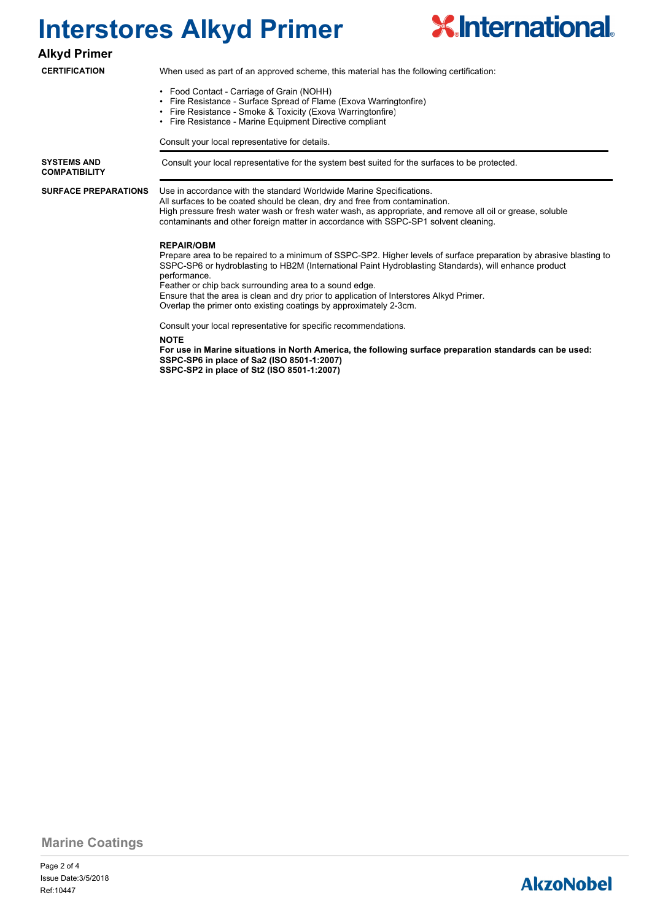

#### **Alkyd Primer**

#### **CERTIFICATION**

When used as part of an approved scheme, this material has the following certification:

- Food Contact Carriage of Grain (NOHH)
- Fire Resistance Surface Spread of Flame (Exova Warringtonfire)
- Fire Resistance Smoke & Toxicity (Exova Warringtonfire)
- Fire Resistance Marine Equipment Directive compliant

Consult your local representative for details.

**COMPATIBILITY**

**SURFACE PREPARATIONS**

**SYSTEMS AND Consult your local representative for the system best suited for the surfaces to be protected.** 

Use in accordance with the standard Worldwide Marine Specifications.

All surfaces to be coated should be clean, dry and free from contamination. High pressure fresh water wash or fresh water wash, as appropriate, and remove all oil or grease, soluble contaminants and other foreign matter in accordance with SSPC-SP1 solvent cleaning.

#### **REPAIR/OBM**

Prepare area to be repaired to a minimum of SSPC-SP2. Higher levels of surface preparation by abrasive blasting to SSPC-SP6 or hydroblasting to HB2M (International Paint Hydroblasting Standards), will enhance product performance.

Feather or chip back surrounding area to a sound edge.

Ensure that the area is clean and dry prior to application of Interstores Alkyd Primer.

Overlap the primer onto existing coatings by approximately 2-3cm.

Consult your local representative for specific recommendations.

**NOTE**

**For use in Marine situations in North America, the following surface preparation standards can be used: SSPC-SP6 in place of Sa2 (ISO 8501-1:2007) SSPC-SP2 in place of St2 (ISO 8501-1:2007)**

**Marine Coatings**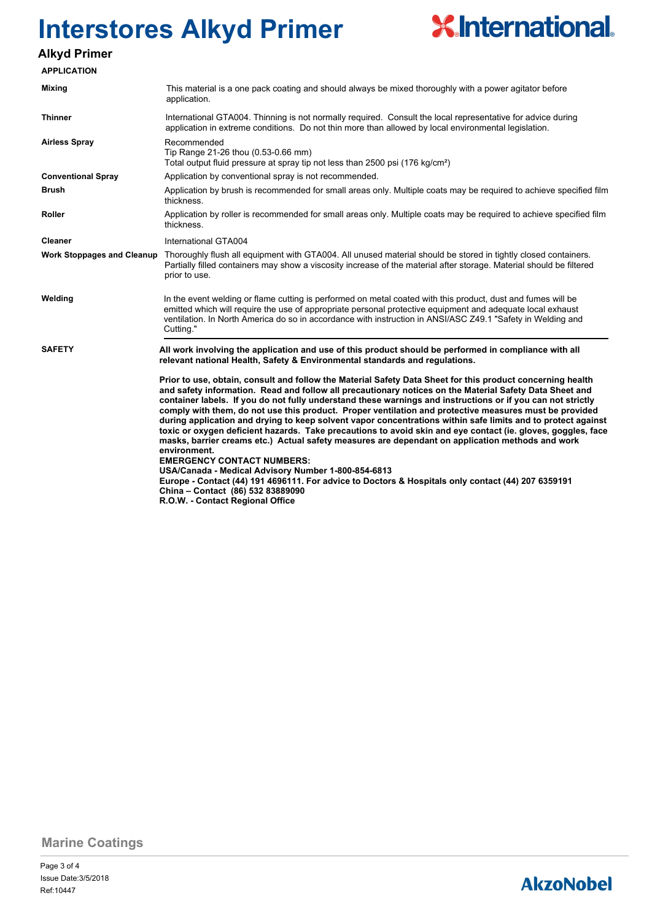

### **Alkyd Primer**

| <b>APPLICATION</b>                |                                                                                                                                                                                                                                                                                                                                                                                                                                                                                                                                                                                                                                        |  |  |  |
|-----------------------------------|----------------------------------------------------------------------------------------------------------------------------------------------------------------------------------------------------------------------------------------------------------------------------------------------------------------------------------------------------------------------------------------------------------------------------------------------------------------------------------------------------------------------------------------------------------------------------------------------------------------------------------------|--|--|--|
| Mixing                            | This material is a one pack coating and should always be mixed thoroughly with a power agitator before<br>application.                                                                                                                                                                                                                                                                                                                                                                                                                                                                                                                 |  |  |  |
| <b>Thinner</b>                    | International GTA004. Thinning is not normally required. Consult the local representative for advice during<br>application in extreme conditions. Do not thin more than allowed by local environmental legislation.                                                                                                                                                                                                                                                                                                                                                                                                                    |  |  |  |
| <b>Airless Spray</b>              | Recommended<br>Tip Range 21-26 thou (0.53-0.66 mm)<br>Total output fluid pressure at spray tip not less than 2500 psi (176 kg/cm <sup>2</sup> )                                                                                                                                                                                                                                                                                                                                                                                                                                                                                        |  |  |  |
| <b>Conventional Spray</b>         | Application by conventional spray is not recommended.                                                                                                                                                                                                                                                                                                                                                                                                                                                                                                                                                                                  |  |  |  |
| Brush                             | Application by brush is recommended for small areas only. Multiple coats may be required to achieve specified film<br>thickness.                                                                                                                                                                                                                                                                                                                                                                                                                                                                                                       |  |  |  |
| Roller                            | Application by roller is recommended for small areas only. Multiple coats may be required to achieve specified film<br>thickness.                                                                                                                                                                                                                                                                                                                                                                                                                                                                                                      |  |  |  |
| Cleaner                           | International GTA004                                                                                                                                                                                                                                                                                                                                                                                                                                                                                                                                                                                                                   |  |  |  |
| <b>Work Stoppages and Cleanup</b> | Thoroughly flush all equipment with GTA004. All unused material should be stored in tightly closed containers.<br>Partially filled containers may show a viscosity increase of the material after storage. Material should be filtered<br>prior to use.                                                                                                                                                                                                                                                                                                                                                                                |  |  |  |
| Welding                           | In the event welding or flame cutting is performed on metal coated with this product, dust and fumes will be<br>emitted which will require the use of appropriate personal protective equipment and adequate local exhaust<br>ventilation. In North America do so in accordance with instruction in ANSI/ASC Z49.1 "Safety in Welding and<br>Cutting."                                                                                                                                                                                                                                                                                 |  |  |  |
| <b>SAFETY</b>                     | All work involving the application and use of this product should be performed in compliance with all<br>relevant national Health, Safety & Environmental standards and regulations.<br>Prior to use, obtain, consult and follow the Material Safety Data Sheet for this product concerning health<br>and safety information. Read and follow all precautionary notices on the Material Safety Data Sheet and<br>container labels. If you do not fully understand these warnings and instructions or if you can not strictly<br>comply with them, do not use this product. Proper ventilation and protective measures must be provided |  |  |  |
| China - Contact (86) 532 83889090 | during application and drying to keep solvent vapor concentrations within safe limits and to protect against<br>toxic or oxygen deficient hazards. Take precautions to avoid skin and eye contact (ie. gloves, goggles, face<br>masks, barrier creams etc.) Actual safety measures are dependant on application methods and work<br>environment.<br><b>EMERGENCY CONTACT NUMBERS:</b><br>USA/Canada - Medical Advisory Number 1-800-854-6813<br>Europe - Contact (44) 191 4696111. For advice to Doctors & Hospitals only contact (44) 207 6359191                                                                                     |  |  |  |

**Marine Coatings**